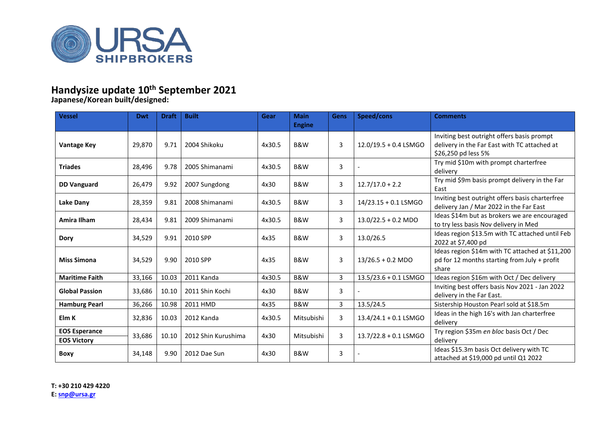

## **Handysize update 10th September 2021**

**Japanese/Korean built/designed:**

| <b>Vessel</b>                              | <b>Dwt</b> | <b>Draft</b> | <b>Built</b>        | Gear   | <b>Main</b><br><b>Engine</b> | Gens | Speed/cons                    | <b>Comments</b>                                                                                                   |
|--------------------------------------------|------------|--------------|---------------------|--------|------------------------------|------|-------------------------------|-------------------------------------------------------------------------------------------------------------------|
| <b>Vantage Key</b>                         | 29,870     | 9.71         | 2004 Shikoku        | 4x30.5 | B&W                          | 3    | 12.0/19.5 + 0.4 LSMGO         | Inviting best outright offers basis prompt<br>delivery in the Far East with TC attached at<br>\$26,250 pd less 5% |
| <b>Triades</b>                             | 28,496     | 9.78         | 2005 Shimanami      | 4x30.5 | B&W                          | 3    |                               | Try mid \$10m with prompt charterfree<br>delivery                                                                 |
| <b>DD Vanguard</b>                         | 26,479     | 9.92         | 2007 Sungdong       | 4x30   | B&W                          | 3    | $12.7/17.0 + 2.2$             | Try mid \$9m basis prompt delivery in the Far<br>East                                                             |
| <b>Lake Dany</b>                           | 28,359     | 9.81         | 2008 Shimanami      | 4x30.5 | B&W                          | 3    | 14/23.15 + 0.1 LSMGO          | Inviting best outright offers basis charterfree<br>delivery Jan / Mar 2022 in the Far East                        |
| <b>Amira Ilham</b>                         | 28,434     | 9.81         | 2009 Shimanami      | 4x30.5 | B&W                          | 3    | $13.0/22.5 + 0.2 \text{ MDO}$ | Ideas \$14m but as brokers we are encouraged<br>to try less basis Nov delivery in Med                             |
| <b>Dory</b>                                | 34,529     | 9.91         | 2010 SPP            | 4x35   | B&W                          | 3    | 13.0/26.5                     | Ideas region \$13.5m with TC attached until Feb<br>2022 at \$7,400 pd                                             |
| <b>Miss Simona</b>                         | 34,529     | 9.90         | 2010 SPP            | 4x35   | <b>B&amp;W</b>               | 3    | $13/26.5 + 0.2$ MDO           | Ideas region \$14m with TC attached at \$11,200<br>pd for 12 months starting from July + profit<br>share          |
| <b>Maritime Faith</b>                      | 33,166     | 10.03        | 2011 Kanda          | 4x30.5 | <b>B&amp;W</b>               | 3    | 13.5/23.6 + 0.1 LSMGO         | Ideas region \$16m with Oct / Dec delivery                                                                        |
| <b>Global Passion</b>                      | 33,686     | 10.10        | 2011 Shin Kochi     | 4x30   | B&W                          | 3    |                               | Inviting best offers basis Nov 2021 - Jan 2022<br>delivery in the Far East.                                       |
| <b>Hamburg Pearl</b>                       | 36,266     | 10.98        | 2011 HMD            | 4x35   | B&W                          | 3    | 13.5/24.5                     | Sistership Houston Pearl sold at \$18.5m                                                                          |
| Elm K                                      | 32,836     | 10.03        | 2012 Kanda          | 4x30.5 | Mitsubishi                   | 3    | $13.4/24.1 + 0.1$ LSMGO       | Ideas in the high 16's with Jan charterfree<br>delivery                                                           |
| <b>EOS Esperance</b><br><b>EOS Victory</b> | 33,686     | 10.10        | 2012 Shin Kurushima | 4x30   | Mitsubishi                   | 3    | 13.7/22.8 + 0.1 LSMGO         | Try region \$35m en bloc basis Oct / Dec<br>delivery                                                              |
| <b>Boxy</b>                                | 34,148     | 9.90         | 2012 Dae Sun        | 4x30   | B&W                          | 3    |                               | Ideas \$15.3m basis Oct delivery with TC<br>attached at \$19,000 pd until Q1 2022                                 |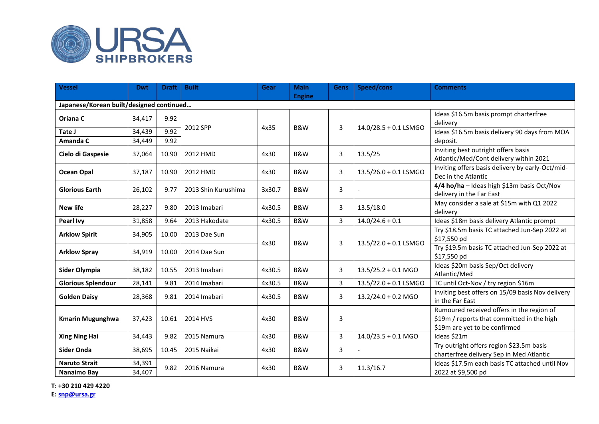

| <b>Vessel</b>                            | <b>Dwt</b>       | <b>Draft</b> | <b>Built</b>        | Gear   | <b>Main</b>    | <b>Gens</b>                       | Speed/cons              | <b>Comments</b>                                                                                                          |  |
|------------------------------------------|------------------|--------------|---------------------|--------|----------------|-----------------------------------|-------------------------|--------------------------------------------------------------------------------------------------------------------------|--|
|                                          |                  |              |                     |        | <b>Engine</b>  |                                   |                         |                                                                                                                          |  |
| Japanese/Korean built/designed continued |                  |              |                     |        |                |                                   |                         |                                                                                                                          |  |
| Oriana C                                 | 34,417           | 9.92         |                     |        | B&W            |                                   |                         | Ideas \$16.5m basis prompt charterfree<br>delivery                                                                       |  |
| Tate J<br>Amanda C                       | 34,439<br>34,449 | 9.92<br>9.92 | 2012 SPP            | 4x35   |                | $\mathbf{3}$                      | 14.0/28.5 + 0.1 LSMGO   | Ideas \$16.5m basis delivery 90 days from MOA<br>deposit.                                                                |  |
| Cielo di Gaspesie                        | 37,064           | 10.90        | 2012 HMD            | 4x30   | B&W            | 3                                 | 13.5/25                 | Inviting best outright offers basis<br>Atlantic/Med/Cont delivery within 2021                                            |  |
| <b>Ocean Opal</b>                        | 37,187           | 10.90        | 2012 HMD            | 4x30   | B&W            | 3                                 | $13.5/26.0 + 0.1$ LSMGO | Inviting offers basis delivery by early-Oct/mid-<br>Dec in the Atlantic                                                  |  |
| <b>Glorious Earth</b>                    | 26,102           | 9.77         | 2013 Shin Kurushima | 3x30.7 | B&W            | 3                                 |                         | 4/4 ho/ha - Ideas high \$13m basis Oct/Nov<br>delivery in the Far East                                                   |  |
| <b>New life</b>                          | 28,227           | 9.80         | 2013 Imabari        | 4x30.5 | B&W            | 3                                 | 13.5/18.0               | May consider a sale at \$15m with Q1 2022<br>delivery                                                                    |  |
| <b>Pearl Ivy</b>                         | 31,858           | 9.64         | 2013 Hakodate       | 4x30.5 | <b>B&amp;W</b> | 3                                 | $14.0/24.6 + 0.1$       | Ideas \$18m basis delivery Atlantic prompt                                                                               |  |
| <b>Arklow Spirit</b>                     | 34,905           | 10.00        | 2013 Dae Sun        | 4x30   |                |                                   |                         | Try \$18.5m basis TC attached Jun-Sep 2022 at<br>\$17,550 pd                                                             |  |
| <b>Arklow Spray</b>                      | 34,919           | 10.00        | 2014 Dae Sun        |        |                | B&W<br>3<br>13.5/22.0 + 0.1 LSMGO |                         | Try \$19.5m basis TC attached Jun-Sep 2022 at<br>\$17,550 pd                                                             |  |
| Sider Olympia                            | 38,182           | 10.55        | 2013 Imabari        | 4x30.5 | B&W            | 3                                 | $13.5/25.2 + 0.1$ MGO   | Ideas \$20m basis Sep/Oct delivery<br>Atlantic/Med                                                                       |  |
| <b>Glorious Splendour</b>                | 28,141           | 9.81         | 2014 Imabari        | 4x30.5 | <b>B&amp;W</b> | 3                                 | 13.5/22.0 + 0.1 LSMGO   | TC until Oct-Nov / try region \$16m                                                                                      |  |
| <b>Golden Daisy</b>                      | 28,368           | 9.81         | 2014 Imabari        | 4x30.5 | B&W            | 3                                 | $13.2/24.0 + 0.2$ MGO   | Inviting best offers on 15/09 basis Nov delivery<br>in the Far East                                                      |  |
| <b>Kmarin Mugunghwa</b>                  | 37,423           | 10.61        | 2014 HVS            | 4x30   | B&W            | 3                                 |                         | Rumoured received offers in the region of<br>\$19m / reports that committed in the high<br>\$19m are yet to be confirmed |  |
| <b>Xing Ning Hai</b>                     | 34,443           | 9.82         | 2015 Namura         | 4x30   | <b>B&amp;W</b> | $\overline{3}$                    | $14.0/23.5 + 0.1$ MGO   | Ideas \$21m                                                                                                              |  |
| <b>Sider Onda</b>                        | 38,695           | 10.45        | 2015 Naikai         | 4x30   | B&W            | 3                                 |                         | Try outright offers region \$23.5m basis<br>charterfree delivery Sep in Med Atlantic                                     |  |
| <b>Naruto Strait</b><br>Nanaimo Bay      | 34,391<br>34,407 | 9.82         | 2016 Namura         | 4x30   | B&W            | 3                                 | 11.3/16.7               | Ideas \$17.5m each basis TC attached until Nov<br>2022 at \$9,500 pd                                                     |  |

**T: +30 210 429 4220**

**E: [snp@ursa.gr](mailto:snp@ursa.gr)**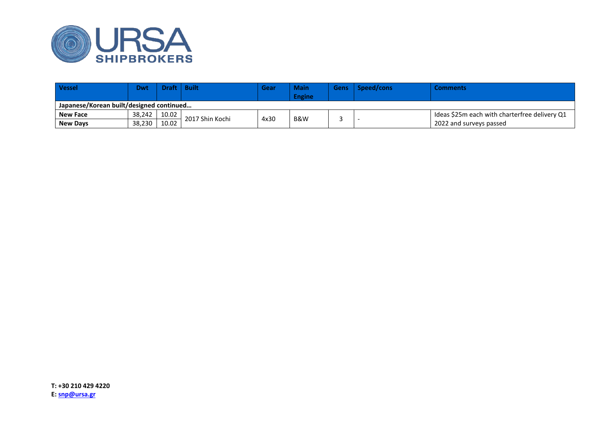

| <b>Vessel</b>                            | <b>Dwt</b> | <b>Draft</b> | <b>Built</b>    | Gear | <b>Main</b><br><b>Engine</b> | Gens | Speed/cons | <b>Comments</b>                               |  |
|------------------------------------------|------------|--------------|-----------------|------|------------------------------|------|------------|-----------------------------------------------|--|
| Japanese/Korean built/designed continued |            |              |                 |      |                              |      |            |                                               |  |
| <b>New Face</b>                          | 38,242     | 10.02        |                 |      |                              |      |            | Ideas \$25m each with charterfree delivery Q1 |  |
| <b>New Days</b>                          | 38,230     | 10.02        | 2017 Shin Kochi | 4x30 | B&W                          |      |            | 2022 and surveys passed                       |  |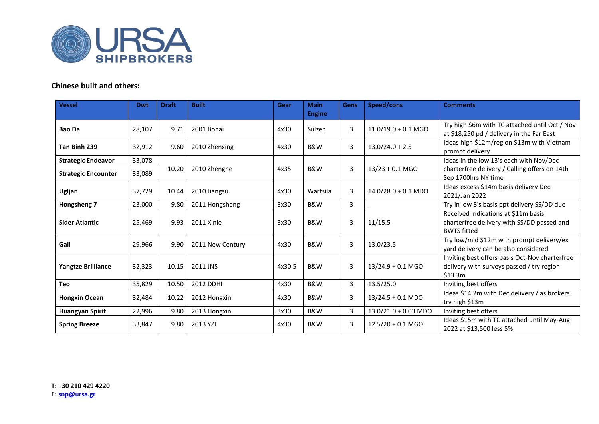

## **Chinese built and others:**

| <b>Vessel</b>              | <b>Dwt</b> | <b>Draft</b> | <b>Built</b>     | Gear   | <b>Main</b>   | Gens | Speed/cons                     | <b>Comments</b>                                                                                         |  |  |
|----------------------------|------------|--------------|------------------|--------|---------------|------|--------------------------------|---------------------------------------------------------------------------------------------------------|--|--|
|                            |            |              |                  |        | <b>Engine</b> |      |                                |                                                                                                         |  |  |
| <b>Bao Da</b>              | 28,107     | 9.71         | 2001 Bohai       | 4x30   | Sulzer        | 3    | $11.0/19.0 + 0.1$ MGO          | Try high \$6m with TC attached until Oct / Nov<br>at \$18,250 pd / delivery in the Far East             |  |  |
| Tan Binh 239               | 32,912     | 9.60         | 2010 Zhenxing    | 4x30   | B&W           | 3    | $13.0/24.0 + 2.5$              | Ideas high \$12m/region \$13m with Vietnam<br>prompt delivery                                           |  |  |
| <b>Strategic Endeavor</b>  | 33,078     |              |                  |        |               |      |                                | Ideas in the low 13's each with Nov/Dec                                                                 |  |  |
| <b>Strategic Encounter</b> | 33,089     | 10.20        | 2010 Zhenghe     | 4x35   | B&W           | 3    | $13/23 + 0.1$ MGO              | charterfree delivery / Calling offers on 14th<br>Sep 1700hrs NY time                                    |  |  |
| Ugljan                     | 37,729     | 10.44        | 2010 Jiangsu     | 4x30   | Wartsila      | 3    | $14.0/28.0 + 0.1 \text{ MDO}$  | Ideas excess \$14m basis delivery Dec<br>2021/Jan 2022                                                  |  |  |
| Hongsheng 7                | 23,000     | 9.80         | 2011 Hongsheng   | 3x30   | B&W           | 3    |                                | Try in low 8's basis ppt delivery SS/DD due                                                             |  |  |
| <b>Sider Atlantic</b>      | 25,469     | 9.93         | 2011 Xinle       | 3x30   | B&W           | 3    | 11/15.5                        | Received indications at \$11m basis<br>charterfree delivery with SS/DD passed and<br><b>BWTS fitted</b> |  |  |
| Gail                       | 29,966     | 9.90         | 2011 New Century | 4x30   | B&W           | 3    | 13.0/23.5                      | Try low/mid \$12m with prompt delivery/ex<br>yard delivery can be also considered                       |  |  |
| <b>Yangtze Brilliance</b>  | 32,323     | 10.15        | 2011 JNS         | 4x30.5 | B&W           | 3    | $13/24.9 + 0.1$ MGO            | Inviting best offers basis Oct-Nov charterfree<br>delivery with surveys passed / try region<br>\$13.3m  |  |  |
| <b>Teo</b>                 | 35,829     | 10.50        | 2012 DDHI        | 4x30   | B&W           | 3    | 13.5/25.0                      | Inviting best offers                                                                                    |  |  |
| <b>Hongxin Ocean</b>       | 32,484     | 10.22        | 2012 Hongxin     | 4x30   | B&W           | 3    | $13/24.5 + 0.1 \text{ MDO}$    | Ideas \$14.2m with Dec delivery / as brokers<br>try high \$13m                                          |  |  |
| <b>Huangyan Spirit</b>     | 22,996     | 9.80         | 2013 Hongxin     | 3x30   | B&W           | 3    | $13.0/21.0 + 0.03 \text{ MDO}$ | Inviting best offers                                                                                    |  |  |
| <b>Spring Breeze</b>       | 33,847     | 9.80         | 2013 YZJ         | 4x30   | B&W           | 3    | $12.5/20 + 0.1$ MGO            | Ideas \$15m with TC attached until May-Aug<br>2022 at \$13,500 less 5%                                  |  |  |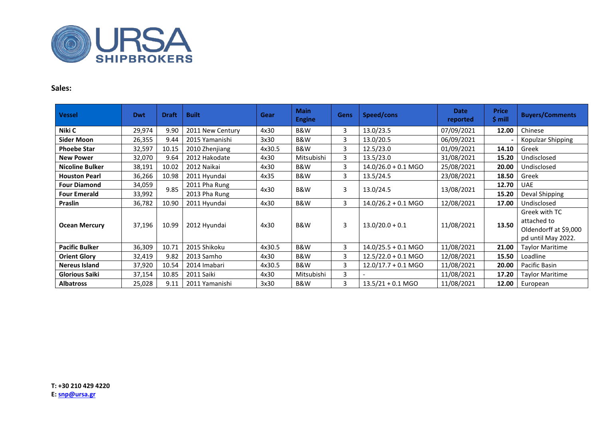

## **Sales:**

| <b>Vessel</b>          | <b>Dwt</b> | <b>Draft</b> | <b>Built</b>     | Gear   | <b>Main</b><br><b>Engine</b> | <b>Gens</b> | Speed/cons            | <b>Date</b><br>reported | <b>Price</b><br>\$ mill | <b>Buyers/Comments</b>                                                      |
|------------------------|------------|--------------|------------------|--------|------------------------------|-------------|-----------------------|-------------------------|-------------------------|-----------------------------------------------------------------------------|
| Niki C                 | 29,974     | 9.90         | 2011 New Century | 4x30   | B&W                          | 3           | 13.0/23.5             | 07/09/2021              | 12.00                   | Chinese                                                                     |
| <b>Sider Moon</b>      | 26,355     | 9.44         | 2015 Yamanishi   | 3x30   | B&W                          | 3           | 13.0/20.5             | 06/09/2021              |                         | Kopulzar Shipping                                                           |
| <b>Phoebe Star</b>     | 32,597     | 10.15        | 2010 Zhenjiang   | 4x30.5 | B&W                          | 3           | 12.5/23.0             | 01/09/2021              | 14.10                   | Greek                                                                       |
| <b>New Power</b>       | 32,070     | 9.64         | 2012 Hakodate    | 4x30   | Mitsubishi                   | 3           | 13.5/23.0             | 31/08/2021              | 15.20                   | Undisclosed                                                                 |
| <b>Nicoline Bulker</b> | 38,191     | 10.02        | 2012 Naikai      | 4x30   | B&W                          | 3           | $14.0/26.0 + 0.1$ MGO | 25/08/2021              | 20.00                   | Undisclosed                                                                 |
| <b>Houston Pearl</b>   | 36,266     | 10.98        | 2011 Hyundai     | 4x35   | B&W                          | 3           | 13.5/24.5             | 23/08/2021              | 18.50                   | Greek                                                                       |
| <b>Four Diamond</b>    | 34,059     |              | 2011 Pha Rung    | 4x30   | <b>B&amp;W</b>               | 3           | 13.0/24.5             | 13/08/2021              | 12.70                   | <b>UAE</b>                                                                  |
| <b>Four Emerald</b>    | 33,992     | 9.85         | 2013 Pha Rung    |        |                              |             |                       |                         | 15.20                   | Deval Shipping                                                              |
| <b>Praslin</b>         | 36,782     | 10.90        | 2011 Hyundai     | 4x30   | B&W                          | 3           | $14.0/26.2 + 0.1$ MGO | 12/08/2021              | 17.00                   | Undisclosed                                                                 |
| <b>Ocean Mercury</b>   | 37,196     | 10.99        | 2012 Hyundai     | 4x30   | B&W                          | 3           | $13.0/20.0 + 0.1$     | 11/08/2021              | 13.50                   | Greek with TC<br>attached to<br>Oldendorff at \$9,000<br>pd until May 2022. |
| <b>Pacific Bulker</b>  | 36,309     | 10.71        | 2015 Shikoku     | 4x30.5 | B&W                          | 3           | $14.0/25.5 + 0.1$ MGO | 11/08/2021              | 21.00                   | Taylor Maritime                                                             |
| <b>Orient Glory</b>    | 32,419     | 9.82         | 2013 Samho       | 4x30   | B&W                          | 3           | $12.5/22.0 + 0.1$ MGO | 12/08/2021              | 15.50                   | Loadline                                                                    |
| <b>Nereus Island</b>   | 37,920     | 10.54        | 2014 Imabari     | 4x30.5 | B&W                          | 3           | $12.0/17.7 + 0.1$ MGO | 11/08/2021              | 20.00                   | Pacific Basin                                                               |
| <b>Glorious Saiki</b>  | 37,154     | 10.85        | 2011 Saiki       | 4x30   | Mitsubishi                   | 3           |                       | 11/08/2021              | 17.20                   | Taylor Maritime                                                             |
| <b>Albatross</b>       | 25,028     | 9.11         | 2011 Yamanishi   | 3x30   | B&W                          | 3           | $13.5/21 + 0.1$ MGO   | 11/08/2021              | 12.00                   | European                                                                    |